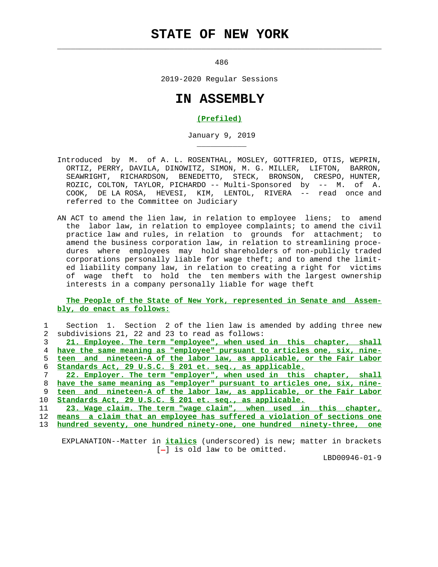# **STATE OF NEW YORK**

 $\mathcal{L}_\text{max} = \frac{1}{2} \sum_{i=1}^{n} \frac{1}{2} \sum_{i=1}^{n} \frac{1}{2} \sum_{i=1}^{n} \frac{1}{2} \sum_{i=1}^{n} \frac{1}{2} \sum_{i=1}^{n} \frac{1}{2} \sum_{i=1}^{n} \frac{1}{2} \sum_{i=1}^{n} \frac{1}{2} \sum_{i=1}^{n} \frac{1}{2} \sum_{i=1}^{n} \frac{1}{2} \sum_{i=1}^{n} \frac{1}{2} \sum_{i=1}^{n} \frac{1}{2} \sum_{i=1}^{n} \frac{1$ 

\_\_\_\_\_\_\_\_\_\_\_

486

2019-2020 Regular Sessions

## **IN ASSEMBLY**

#### **(Prefiled)**

January 9, 2019

- Introduced by M. of A. L. ROSENTHAL, MOSLEY, GOTTFRIED, OTIS, WEPRIN, ORTIZ, PERRY, DAVILA, DINOWITZ, SIMON, M. G. MILLER, LIFTON, BARRON, SEAWRIGHT, RICHARDSON, BENEDETTO, STECK, BRONSON, CRESPO, HUNTER, ROZIC, COLTON, TAYLOR, PICHARDO -- Multi-Sponsored by -- M. of A. COOK, DE LA ROSA, HEVESI, KIM, LENTOL, RIVERA -- read once and referred to the Committee on Judiciary
- AN ACT to amend the lien law, in relation to employee liens; to amend the labor law, in relation to employee complaints; to amend the civil practice law and rules, in relation to grounds for attachment; to amend the business corporation law, in relation to streamlining proce dures where employees may hold shareholders of non-publicly traded corporations personally liable for wage theft; and to amend the limit ed liability company law, in relation to creating a right for victims of wage theft to hold the ten members with the largest ownership interests in a company personally liable for wage theft

 **The People of the State of New York, represented in Senate and Assem bly, do enact as follows:**

|                   | Section 1. Section 2 of the lien law is amended by adding three new      |
|-------------------|--------------------------------------------------------------------------|
| 2                 | subdivisions 21, 22 and 23 to read as follows:                           |
|                   | 21. Employee. The term "employee", when used in this chapter, shall      |
| 4                 | have the same meaning as "employee" pursuant to articles one, six, nine- |
| 5.                | teen and nineteen-A of the labor law, as applicable, or the Fair Labor   |
| 6                 | Standards Act, 29 U.S.C. § 201 et. seq., as applicable.                  |
|                   | 22. Employer. The term "employer", when used in this chapter, shall      |
| 8                 | have the same meaning as "employer" pursuant to articles one, six, nine- |
| 9                 | teen and nineteen-A of the labor law, as applicable, or the Fair Labor   |
| 10                | Standards Act, 29 U.S.C. § 201 et. seq., as applicable.                  |
| 11                | 23. Wage claim. The term "wage claim", when used in this chapter,        |
| $12 \overline{ }$ | means a claim that an employee has suffered a violation of sections one  |
| 13                | hundred seventy, one hundred ninety-one, one hundred ninety-three, one   |

 EXPLANATION--Matter in **italics** (underscored) is new; matter in brackets  $[-]$  is old law to be omitted.

LBD00946-01-9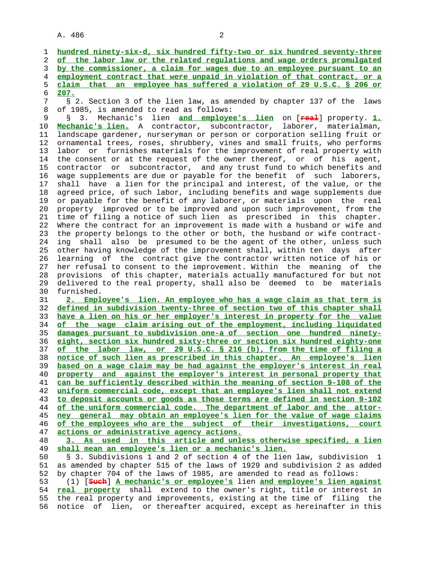5 **claim that an employee has suffered a violation of 29 U.S.C. § 206 or** 6 **207.** 7 § 2. Section 3 of the lien law, as amended by chapter 137 of the laws

8 of 1985, is amended to read as follows:<br>9 § 3. Mechanic's lien and employe

 9 § 3. Mechanic's lien **and employee's lien** on [**real**] property. **1.** 10 **Mechanic's lien.** A contractor, subcontractor, laborer, materialman, 11 landscape gardener, nurseryman or person or corporation selling fruit or 12 ornamental trees, roses, shrubbery, vines and small fruits, who performs 13 labor or furnishes materials for the improvement of real property with 14 the consent or at the request of the owner thereof, or of his agent, 15 contractor or subcontractor, and any trust fund to which benefits and 16 wage supplements are due or payable for the benefit of such laborers, 17 shall have a lien for the principal and interest, of the value, or the 18 agreed price, of such labor, including benefits and wage supplements due 19 or payable for the benefit of any laborer, or materials upon the real 20 property improved or to be improved and upon such improvement, from the 21 time of filing a notice of such lien as prescribed in this chapter. 22 Where the contract for an improvement is made with a husband or wife and 23 the property belongs to the other or both, the husband or wife contract- 24 ing shall also be presumed to be the agent of the other, unless such 25 other having knowledge of the improvement shall, within ten days after 26 learning of the contract give the contractor written notice of his or 27 her refusal to consent to the improvement. Within the meaning of the 28 provisions of this chapter, materials actually manufactured for but not 29 delivered to the real property, shall also be deemed to be materials 30 furnished.

**2. Employee's lien. An employee who has a wage claim as that term is defined in subdivision twenty-three of section two of this chapter shall have a lien on his or her employer's interest in property for the value of the wage claim arising out of the employment, including liquidated damages pursuant to subdivision one-a of section one hundred ninety- eight, section six hundred sixty-three or section six hundred eighty-one of the labor law, or 29 U.S.C. § 216 (b), from the time of filing a notice of such lien as prescribed in this chapter. An employee's lien based on a wage claim may be had against the employer's interest in real property and against the employer's interest in personal property that can be sufficiently described within the meaning of section 9-108 of the uniform commercial code, except that an employee's lien shall not extend to deposit accounts or goods as those terms are defined in section 9-102 of the uniform commercial code. The department of labor and the attor- ney general may obtain an employee's lien for the value of wage claims of the employees who are the subject of their investigations, court actions or administrative agency actions. 3. As used in this article and unless otherwise specified, a lien** shall mean an employee's lien or a mechanic's lien.

 50 § 3. Subdivisions 1 and 2 of section 4 of the lien law, subdivision 1 51 as amended by chapter 515 of the laws of 1929 and subdivision 2 as added 52 by chapter 704 of the laws of 1985, are amended to read as follows: 53 (1) [**Such**] **A mechanic's or employee's** lien **and employee's lien against** 54 **real property** shall extend to the owner's right, title or interest in 55 the real property and improvements, existing at the time of filing the

56 notice of lien, or thereafter acquired, except as hereinafter in this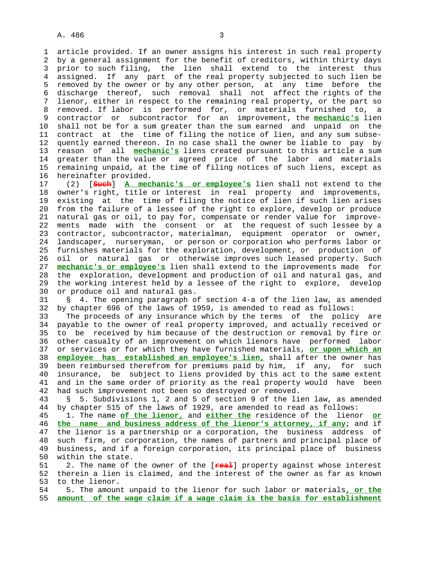1 article provided. If an owner assigns his interest in such real property 2 by a general assignment for the benefit of creditors, within thirty days 3 prior to such filing, the lien shall extend to the interest thus 4 assigned. If any part of the real property subjected to such lien be 5 removed by the owner or by any other person, at any time before the 6 discharge thereof, such removal shall not affect the rights of the 7 lienor, either in respect to the remaining real property, or the part so 8 removed. If labor is performed for, or materials furnished to, a 9 contractor or subcontractor for an improvement, the **mechanic's** lien 10 shall not be for a sum greater than the sum earned and unpaid on the 11 contract at the time of filing the notice of lien, and any sum subse- 12 quently earned thereon. In no case shall the owner be liable to pay by 13 reason of all **mechanic's** liens created pursuant to this article a sum 14 greater than the value or agreed price of the labor and materials 15 remaining unpaid, at the time of filing notices of such liens, except as 16 hereinafter provided.

 17 (2) [**Such**] **A mechanic's or employee's** lien shall not extend to the 18 owner's right, title or interest in real property and improvements, 19 existing at the time of filing the notice of lien if such lien arises 20 from the failure of a lessee of the right to explore, develop or produce 21 natural gas or oil, to pay for, compensate or render value for improve- 22 ments made with the consent or at the request of such lessee by a 23 contractor, subcontractor, materialman, equipment operator or owner, 24 landscaper, nurseryman, or person or corporation who performs labor or 25 furnishes materials for the exploration, development, or production of 26 oil or natural gas or otherwise improves such leased property. Such 27 **mechanic's or employee's** lien shall extend to the improvements made for 28 the exploration, development and production of oil and natural gas, and 29 the working interest held by a lessee of the right to explore, develop 30 or produce oil and natural gas.

 31 § 4. The opening paragraph of section 4-a of the lien law, as amended 32 by chapter 696 of the laws of 1959, is amended to read as follows:

 33 The proceeds of any insurance which by the terms of the policy are 34 payable to the owner of real property improved, and actually received or 35 to be received by him because of the destruction or removal by fire or 36 other casualty of an improvement on which lienors have performed labor 37 or services or for which they have furnished materials, **or upon which an** 38 **employee has established an employee's lien,** shall after the owner has 39 been reimbursed therefrom for premiums paid by him, if any, for such 40 insurance, be subject to liens provided by this act to the same extent 41 and in the same order of priority as the real property would have been 42 had such improvement not been so destroyed or removed.

 43 § 5. Subdivisions 1, 2 and 5 of section 9 of the lien law, as amended 44 by chapter 515 of the laws of 1929, are amended to read as follows:

 45 1. The name **of the lienor,** and **either the** residence of the lienor **or** 46 **the name and business address of the lienor's attorney, if any**; and if 47 the lienor is a partnership or a corporation, the business address of 48 such firm, or corporation, the names of partners and principal place of 49 business, and if a foreign corporation, its principal place of business 50 within the state.

 51 2. The name of the owner of the [**real**] property against whose interest 52 therein a lien is claimed, and the interest of the owner as far as known 53 to the lienor.

 54 5. The amount unpaid to the lienor for such labor or materials**, or the** 55 **amount of the wage claim if a wage claim is the basis for establishment**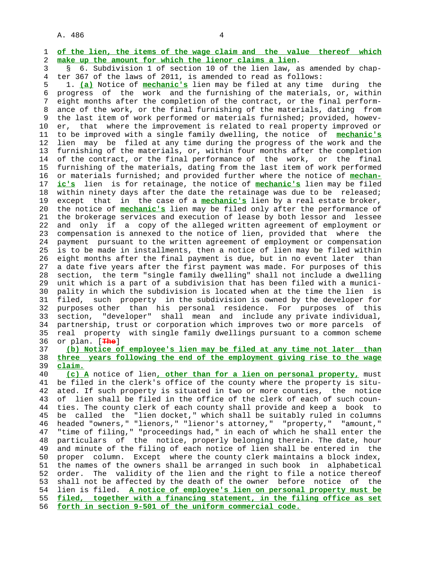1 **of the lien, the items of the wage claim and the value thereof which** 2 **make up the amount for which the lienor claims a lien**.

 3 § 6. Subdivision 1 of section 10 of the lien law, as amended by chap- 4 ter 367 of the laws of 2011, is amended to read as follows:

 5 1. **(a)** Notice of **mechanic's** lien may be filed at any time during the 6 progress of the work and the furnishing of the materials, or, within 7 eight months after the completion of the contract, or the final perform- 8 ance of the work, or the final furnishing of the materials, dating from<br>9 the last item of work performed or materials furnished; provided, howevthe last item of work performed or materials furnished; provided, howev- 10 er, that where the improvement is related to real property improved or 11 to be improved with a single family dwelling, the notice of **mechanic's** 12 lien may be filed at any time during the progress of the work and the 13 furnishing of the materials, or, within four months after the completion 14 of the contract, or the final performance of the work, or the final 15 furnishing of the materials, dating from the last item of work performed 16 or materials furnished; and provided further where the notice of **mechan-** 17 **ic's** lien is for retainage, the notice of **mechanic's** lien may be filed 18 within ninety days after the date the retainage was due to be released; 19 except that in the case of a **mechanic's** lien by a real estate broker, 20 the notice of **mechanic's** lien may be filed only after the performance of 21 the brokerage services and execution of lease by both lessor and lessee 22 and only if a copy of the alleged written agreement of employment or 23 compensation is annexed to the notice of lien, provided that where the 24 payment pursuant to the written agreement of employment or compensation 25 is to be made in installments, then a notice of lien may be filed within 26 eight months after the final payment is due, but in no event later than 27 a date five years after the first payment was made. For purposes of this 28 section, the term "single family dwelling" shall not include a dwelling 29 unit which is a part of a subdivision that has been filed with a munici- 30 pality in which the subdivision is located when at the time the lien is 31 filed, such property in the subdivision is owned by the developer for 32 purposes other than his personal residence. For purposes of this 33 section, "developer" shall mean and include any private individual, 34 partnership, trust or corporation which improves two or more parcels of 35 real property with single family dwellings pursuant to a common scheme 36 or plan. [**The**]

### 37 **(b) Notice of employee's lien may be filed at any time not later than** 38 **three years following the end of the employment giving rise to the wage** 39 **claim.**

 40 **(c) A** notice of lien**, other than for a lien on personal property,** must 41 be filed in the clerk's office of the county where the property is situ- 42 ated. If such property is situated in two or more counties, the notice 43 of lien shall be filed in the office of the clerk of each of such coun- 44 ties. The county clerk of each county shall provide and keep a book to 45 be called the "lien docket," which shall be suitably ruled in columns 46 headed "owners," "lienors," "lienor's attorney," "property," "amount," 47 "time of filing," "proceedings had," in each of which he shall enter the 48 particulars of the notice, properly belonging therein. The date, hour 49 and minute of the filing of each notice of lien shall be entered in the 50 proper column. Except where the county clerk maintains a block index, 51 the names of the owners shall be arranged in such book in alphabetical 52 order. The validity of the lien and the right to file a notice thereof 53 shall not be affected by the death of the owner before notice of the 54 lien is filed. **A notice of employee's lien on personal property must be** 55 **filed, together with a financing statement, in the filing office as set** 56 **forth in section 9-501 of the uniform commercial code.**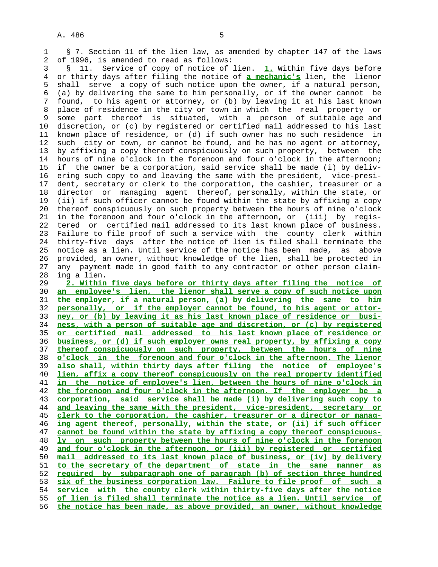1 § 7. Section 11 of the lien law, as amended by chapter 147 of the laws 2 of 1996, is amended to read as follows:

 3 § 11. Service of copy of notice of lien. **1.** Within five days before 4 or thirty days after filing the notice of **a mechanic's** lien, the lienor 5 shall serve a copy of such notice upon the owner, if a natural person, 6 (a) by delivering the same to him personally, or if the owner cannot be 7 found, to his agent or attorney, or (b) by leaving it at his last known 8 place of residence in the city or town in which the real property or 9 some part thereof is situated, with a person of suitable age and 10 discretion, or (c) by registered or certified mail addressed to his last 11 known place of residence, or (d) if such owner has no such residence in 12 such city or town, or cannot be found, and he has no agent or attorney, 13 by affixing a copy thereof conspicuously on such property, between the 14 hours of nine o'clock in the forenoon and four o'clock in the afternoon; 15 if the owner be a corporation, said service shall be made (i) by deliv- 16 ering such copy to and leaving the same with the president, vice-presi- 17 dent, secretary or clerk to the corporation, the cashier, treasurer or a 18 director or managing agent thereof, personally, within the state, or 19 (ii) if such officer cannot be found within the state by affixing a copy 20 thereof conspicuously on such property between the hours of nine o'clock 21 in the forenoon and four o'clock in the afternoon, or (iii) by regis- 22 tered or certified mail addressed to its last known place of business. 23 Failure to file proof of such a service with the county clerk within 24 thirty-five days after the notice of lien is filed shall terminate the 25 notice as a lien. Until service of the notice has been made, as above 26 provided, an owner, without knowledge of the lien, shall be protected in 27 any payment made in good faith to any contractor or other person claim- 28 ing a lien.

**2. Within five days before or thirty days after filing the notice of an employee's lien, the lienor shall serve a copy of such notice upon the employer, if a natural person, (a) by delivering the same to him personally, or if the employer cannot be found, to his agent or attor- ney, or (b) by leaving it as his last known place of residence or busi- ness, with a person of suitable age and discretion, or (c) by registered or certified mail addressed to his last known place of residence or business, or (d) if such employer owns real property, by affixing a copy thereof conspicuously on such property, between the hours of nine o'clock in the forenoon and four o'clock in the afternoon. The lienor also shall, within thirty days after filing the notice of employee's lien, affix a copy thereof conspicuously on the real property identified in the notice of employee's lien, between the hours of nine o'clock in the forenoon and four o'clock in the afternoon. If the employer be a corporation, said service shall be made (i) by delivering such copy to and leaving the same with the president, vice-president, secretary or clerk to the corporation, the cashier, treasurer or a director or manag- ing agent thereof, personally, within the state, or (ii) if such officer cannot be found within the state by affixing a copy thereof conspicuous- ly on such property between the hours of nine o'clock in the forenoon and four o'clock in the afternoon, or (iii) by registered or certified mail addressed to its last known place of business, or (iv) by delivery to the secretary of the department of state in the same manner as required by subparagraph one of paragraph (b) of section three hundred six of the business corporation law. Failure to file proof of such a service with the county clerk within thirty-five days after the notice of lien is filed shall terminate the notice as a lien. Until service of the notice has been made, as above provided, an owner, without knowledge**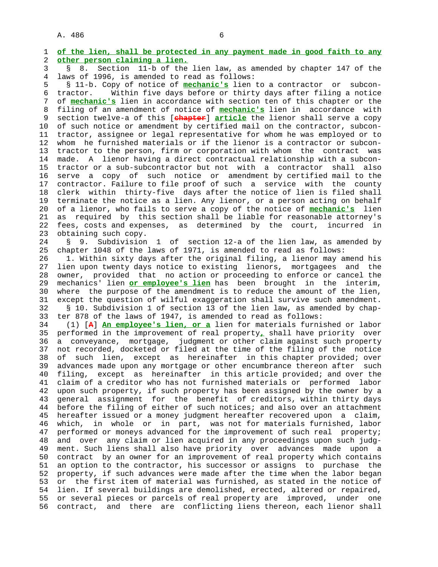1 **of the lien, shall be protected in any payment made in good faith to any** 2 **other person claiming a lien.** 3 § 8. Section 11-b of the lien law, as amended by chapter 147 of the 4 laws of 1996, is amended to read as follows: 5 § 11-b. Copy of notice of **mechanic's** lien to a contractor or subcon- 6 tractor. Within five days before or thirty days after filing a notice 7 of **mechanic's** lien in accordance with section ten of this chapter or the 8 filing of an amendment of notice of **mechanic's** lien in accordance with 9 section twelve-a of this [**chapter**] **article** the lienor shall serve a copy 10 of such notice or amendment by certified mail on the contractor, subcon- 11 tractor, assignee or legal representative for whom he was employed or to 12 whom he furnished materials or if the lienor is a contractor or subcon- 13 tractor to the person, firm or corporation with whom the contract was 14 made. A lienor having a direct contractual relationship with a subcon- 15 tractor or a sub-subcontractor but not with a contractor shall also 16 serve a copy of such notice or amendment by certified mail to the 17 contractor. Failure to file proof of such a service with the county 18 clerk within thirty-five days after the notice of lien is filed shall 19 terminate the notice as a lien. Any lienor, or a person acting on behalf 20 of a lienor, who fails to serve a copy of the notice of **mechanic's** lien 21 as required by this section shall be liable for reasonable attorney's 22 fees, costs and expenses, as determined by the court, incurred in 23 obtaining such copy. 24 § 9. Subdivision 1 of section 12-a of the lien law, as amended by 25 chapter 1048 of the laws of 1971, is amended to read as follows: 26 1. Within sixty days after the original filing, a lienor may amend his 27 lien upon twenty days notice to existing lienors, mortgagees and the 28 owner, provided that no action or proceeding to enforce or cancel the 29 mechanics' lien **or employee's lien** has been brought in the interim, 30 where the purpose of the amendment is to reduce the amount of the lien, 31 except the question of wilful exaggeration shall survive such amendment. 32 § 10. Subdivision 1 of section 13 of the lien law, as amended by chap- 33 ter 878 of the laws of 1947, is amended to read as follows: 34 (1) [**A**] **An employee's lien, or a** lien for materials furnished or labor 35 performed in the improvement of real property**,** shall have priority over 36 a conveyance, mortgage, judgment or other claim against such property 37 not recorded, docketed or filed at the time of the filing of the notice 38 of such lien, except as hereinafter in this chapter provided; over 39 advances made upon any mortgage or other encumbrance thereon after such 40 filing, except as hereinafter in this article provided; and over the 41 claim of a creditor who has not furnished materials or performed labor 42 upon such property, if such property has been assigned by the owner by a 43 general assignment for the benefit of creditors, within thirty days 44 before the filing of either of such notices; and also over an attachment 45 hereafter issued or a money judgment hereafter recovered upon a claim, 46 which, in whole or in part, was not for materials furnished, labor 47 performed or moneys advanced for the improvement of such real property; 48 and over any claim or lien acquired in any proceedings upon such judg- 49 ment. Such liens shall also have priority over advances made upon a 50 contract by an owner for an improvement of real property which contains 51 an option to the contractor, his successor or assigns to purchase the 52 property, if such advances were made after the time when the labor began 53 or the first item of material was furnished, as stated in the notice of 54 lien. If several buildings are demolished, erected, altered or repaired, 55 or several pieces or parcels of real property are improved, under one 56 contract, and there are conflicting liens thereon, each lienor shall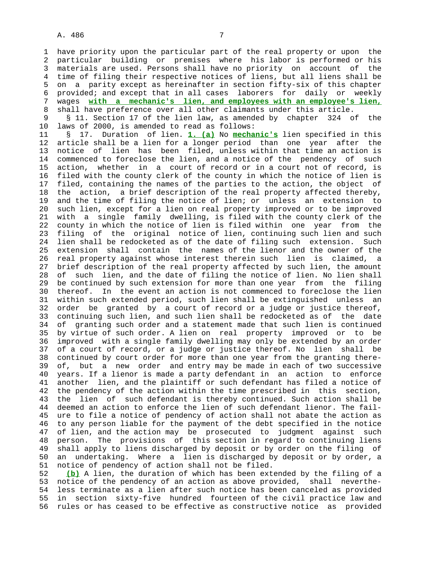1 have priority upon the particular part of the real property or upon the 2 particular building or premises where his labor is performed or his 3 materials are used. Persons shall have no priority on account of the 4 time of filing their respective notices of liens, but all liens shall be 5 on a parity except as hereinafter in section fifty-six of this chapter 6 provided; and except that in all cases laborers for daily or weekly 7 wages **with a mechanic's lien, and employees with an employee's lien,**

8 shall have preference over all other claimants under this article.<br>9 § 11. Section 17 of the lien law, as amended by chapter 324 o

§ 11. Section 17 of the lien law, as amended by chapter 324 of the 10 laws of 2000, is amended to read as follows:

 11 § 17. Duration of lien. **1. (a)** No **mechanic's** lien specified in this 12 article shall be a lien for a longer period than one year after the 13 notice of lien has been filed, unless within that time an action is 14 commenced to foreclose the lien, and a notice of the pendency of such 15 action, whether in a court of record or in a court not of record, is 16 filed with the county clerk of the county in which the notice of lien is 17 filed, containing the names of the parties to the action, the object of 18 the action, a brief description of the real property affected thereby, 19 and the time of filing the notice of lien; or unless an extension to 20 such lien, except for a lien on real property improved or to be improved 21 with a single family dwelling, is filed with the county clerk of the 22 county in which the notice of lien is filed within one year from the 23 filing of the original notice of lien, continuing such lien and such 24 lien shall be redocketed as of the date of filing such extension. Such 25 extension shall contain the names of the lienor and the owner of the 26 real property against whose interest therein such lien is claimed, a 27 brief description of the real property affected by such lien, the amount 28 of such lien, and the date of filing the notice of lien. No lien shall 29 be continued by such extension for more than one year from the filing 30 thereof. In the event an action is not commenced to foreclose the lien 31 within such extended period, such lien shall be extinguished unless an 32 order be granted by a court of record or a judge or justice thereof, 33 continuing such lien, and such lien shall be redocketed as of the date 34 of granting such order and a statement made that such lien is continued 35 by virtue of such order. A lien on real property improved or to be 36 improved with a single family dwelling may only be extended by an order 37 of a court of record, or a judge or justice thereof. No lien shall be 38 continued by court order for more than one year from the granting there- 39 of, but a new order and entry may be made in each of two successive 40 years. If a lienor is made a party defendant in an action to enforce 41 another lien, and the plaintiff or such defendant has filed a notice of 42 the pendency of the action within the time prescribed in this section, 43 the lien of such defendant is thereby continued. Such action shall be 44 deemed an action to enforce the lien of such defendant lienor. The fail- 45 ure to file a notice of pendency of action shall not abate the action as 46 to any person liable for the payment of the debt specified in the notice 47 of lien, and the action may be prosecuted to judgment against such 48 person. The provisions of this section in regard to continuing liens 49 shall apply to liens discharged by deposit or by order on the filing of 50 an undertaking. Where a lien is discharged by deposit or by order, a 51 notice of pendency of action shall not be filed.

 52 **(b)** A lien, the duration of which has been extended by the filing of a 53 notice of the pendency of an action as above provided, shall neverthe- 54 less terminate as a lien after such notice has been canceled as provided 55 in section sixty-five hundred fourteen of the civil practice law and 56 rules or has ceased to be effective as constructive notice as provided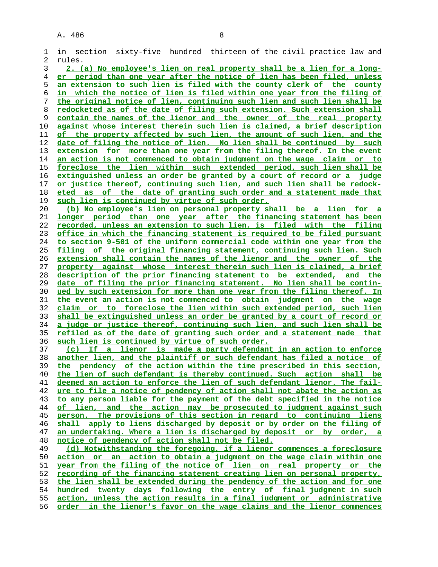1 in section sixty-five hundred thirteen of the civil practice law and 2 rules. **2. (a) No employee's lien on real property shall be a lien for a long- er period than one year after the notice of lien has been filed, unless an extension to such lien is filed with the county clerk of the county in which the notice of lien is filed within one year from the filing of the original notice of lien, continuing such lien and such lien shall be redocketed as of the date of filing such extension. Such extension shall contain the names of the lienor and the owner of the real property against whose interest therein such lien is claimed, a brief description of the property affected by such lien, the amount of such lien, and the date of filing the notice of lien. No lien shall be continued by such extension for more than one year from the filing thereof. In the event an action is not commenced to obtain judgment on the wage claim or to foreclose the lien within such extended period, such lien shall be extinguished unless an order be granted by a court of record or a judge or justice thereof, continuing such lien, and such lien shall be redock- eted as of the date of granting such order and a statement made that such lien is continued by virtue of such order. (b) No employee's lien on personal property shall be a lien for a longer period than one year after the financing statement has been recorded, unless an extension to such lien, is filed with the filing office in which the financing statement is required to be filed pursuant to section 9-501 of the uniform commercial code within one year from the filing of the original financing statement, continuing such lien. Such extension shall contain the names of the lienor and the owner of the property against whose interest therein such lien is claimed, a brief description of the prior financing statement to be extended, and the date of filing the prior financing statement. No lien shall be contin- ued by such extension for more than one year from the filing thereof. In the event an action is not commenced to obtain judgment on the wage claim or to foreclose the lien within such extended period, such lien shall be extinguished unless an order be granted by a court of record or a judge or justice thereof, continuing such lien, and such lien shall be refiled as of the date of granting such order and a statement made that such lien is continued by virtue of such order. (c) If a lienor is made a party defendant in an action to enforce another lien, and the plaintiff or such defendant has filed a notice of the pendency of the action within the time prescribed in this section, the lien of such defendant is thereby continued. Such action shall be deemed an action to enforce the lien of such defendant lienor. The fail- ure to file a notice of pendency of action shall not abate the action as to any person liable for the payment of the debt specified in the notice of lien, and the action may be prosecuted to judgment against such person. The provisions of this section in regard to continuing liens shall apply to liens discharged by deposit or by order on the filing of an undertaking. Where a lien is discharged by deposit or by order, a notice of pendency of action shall not be filed. (d) Notwithstanding the foregoing, if a lienor commences a foreclosure action or an action to obtain a judgment on the wage claim within one year from the filing of the notice of lien on real property or the recording of the financing statement creating lien on personal property, the lien shall be extended during the pendency of the action and for one hundred twenty days following the entry of final judgment in such action, unless the action results in a final judgment or administrative order in the lienor's favor on the wage claims and the lienor commences**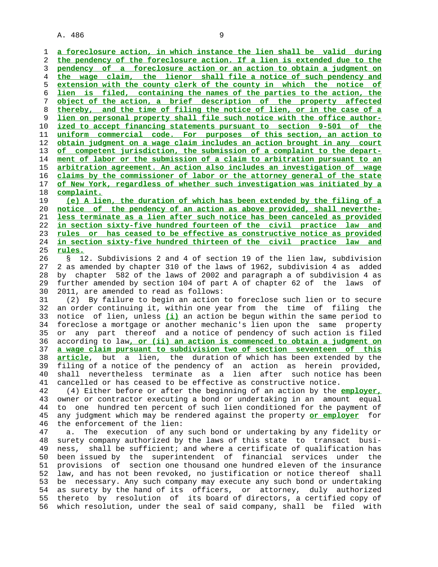1 **a foreclosure action, in which instance the lien shall be valid during** 2 **the pendency of the foreclosure action. If a lien is extended due to the** 3 **pendency of a foreclosure action or an action to obtain a judgment on** 4 **the wage claim, the lienor shall file a notice of such pendency and** 5 **extension with the county clerk of the county in which the notice of** 6 **lien is filed, containing the names of the parties to the action, the** 7 **object of the action, a brief description of the property affected** 8 **thereby, and the time of filing the notice of lien, or in the case of a** 9 **lien on personal property shall file such notice with the office author-** 10 **ized to accept financing statements pursuant to section 9-501 of the** 11 **uniform commercial code. For purposes of this section, an action to** 12 **obtain judgment on a wage claim includes an action brought in any court** 13 **of competent jurisdiction, the submission of a complaint to the depart-** 14 **ment of labor or the submission of a claim to arbitration pursuant to an** 15 **arbitration agreement. An action also includes an investigation of wage** 16 **claims by the commissioner of labor or the attorney general of the state** 17 **of New York, regardless of whether such investigation was initiated by a** 18 **complaint.** 19 **(e) A lien, the duration of which has been extended by the filing of a** 20 **notice of the pendency of an action as above provided, shall neverthe-** 21 **less terminate as a lien after such notice has been canceled as provided** 22 **in section sixty-five hundred fourteen of the civil practice law and** 23 **rules or has ceased to be effective as constructive notice as provided** 24 **in section sixty-five hundred thirteen of the civil practice law and** 25 **rules.** 26 § 12. Subdivisions 2 and 4 of section 19 of the lien law, subdivision 27 2 as amended by chapter 310 of the laws of 1962, subdivision 4 as added 28 by chapter 582 of the laws of 2002 and paragraph a of subdivision 4 as 29 further amended by section 104 of part A of chapter 62 of the laws of 30 2011, are amended to read as follows: 31 (2) By failure to begin an action to foreclose such lien or to secure 32 an order continuing it, within one year from the time of filing the 33 notice of lien, unless **(i)** an action be begun within the same period to 34 foreclose a mortgage or another mechanic's lien upon the same property 35 or any part thereof and a notice of pendency of such action is filed 36 according to law**, or (ii) an action is commenced to obtain a judgment on** 37 **a wage claim pursuant to subdivision two of section seventeen of this** 38 **article**, but a lien, the duration of which has been extended by the 39 filing of a notice of the pendency of an action as herein provided, 40 shall nevertheless terminate as a lien after such notice has been 41 cancelled or has ceased to be effective as constructive notice. 42 (4) Either before or after the beginning of an action by the **employer,** 43 owner or contractor executing a bond or undertaking in an amount equal 44 to one hundred ten percent of such lien conditioned for the payment of 45 any judgment which may be rendered against the property **or employer** for 46 the enforcement of the lien: 47 a. The execution of any such bond or undertaking by any fidelity or 48 surety company authorized by the laws of this state to transact busi- 49 ness, shall be sufficient; and where a certificate of qualification has 50 been issued by the superintendent of financial services under the 51 provisions of section one thousand one hundred eleven of the insurance 52 law, and has not been revoked, no justification or notice thereof shall 53 be necessary. Any such company may execute any such bond or undertaking 54 as surety by the hand of its officers, or attorney, duly authorized 55 thereto by resolution of its board of directors, a certified copy of 56 which resolution, under the seal of said company, shall be filed with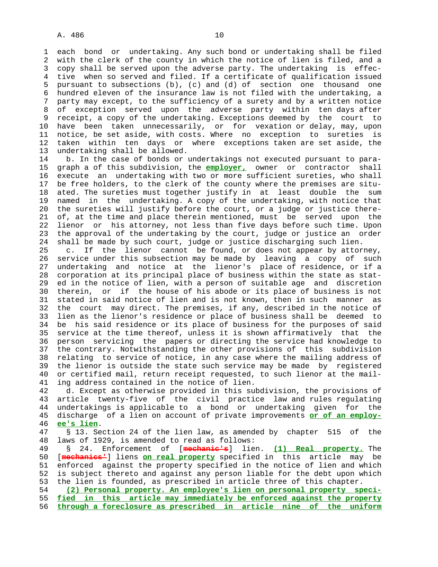1 each bond or undertaking. Any such bond or undertaking shall be filed 2 with the clerk of the county in which the notice of lien is filed, and a 3 copy shall be served upon the adverse party. The undertaking is effec- 4 tive when so served and filed. If a certificate of qualification issued 5 pursuant to subsections (b), (c) and (d) of section one thousand one 6 hundred eleven of the insurance law is not filed with the undertaking, a 7 party may except, to the sufficiency of a surety and by a written notice 8 of exception served upon the adverse party within ten-days-after<br>9 receipt, a copy of the undertaking. Exceptions-deemed-by-the-court-to receipt, a copy of the undertaking. Exceptions deemed by the court to 10 have been taken unnecessarily, or for vexation or delay, may, upon 11 notice, be set aside, with costs. Where no exception to sureties is 12 taken within ten days or where exceptions taken are set aside, the 13 undertaking shall be allowed.

 14 b. In the case of bonds or undertakings not executed pursuant to para- 15 graph a of this subdivision, the **employer,** owner or contractor shall 16 execute an undertaking with two or more sufficient sureties, who shall 17 be free holders, to the clerk of the county where the premises are situ- 18 ated. The sureties must together justify in at least double the sum 19 named in the undertaking. A copy of the undertaking, with notice that 20 the sureties will justify before the court, or a judge or justice there- 21 of, at the time and place therein mentioned, must be served upon the 22 lienor or his attorney, not less than five days before such time. Upon 23 the approval of the undertaking by the court, judge or justice an order 24 shall be made by such court, judge or justice discharging such lien.

 25 c. If the lienor cannot be found, or does not appear by attorney, 26 service under this subsection may be made by leaving a copy of such 27 undertaking and notice at the lienor's place of residence, or if a 28 corporation at its principal place of business within the state as stat- 29 ed in the notice of lien, with a person of suitable age and discretion 30 therein, or if the house of his abode or its place of business is not 31 stated in said notice of lien and is not known, then in such manner as 32 the court may direct. The premises, if any, described in the notice of 33 lien as the lienor's residence or place of business shall be deemed to 34 be his said residence or its place of business for the purposes of said 35 service at the time thereof, unless it is shown affirmatively that the 36 person servicing the papers or directing the service had knowledge to 37 the contrary. Notwithstanding the other provisions of this subdivision 38 relating to service of notice, in any case where the mailing address of 39 the lienor is outside the state such service may be made by registered 40 or certified mail, return receipt requested, to such lienor at the mail- 41 ing address contained in the notice of lien.

 42 d. Except as otherwise provided in this subdivision, the provisions of 43 article twenty-five of the civil practice law and rules regulating 44 undertakings is applicable to a bond or undertaking given for the 45 discharge of a lien on account of private improvements **or of an employ-** 46 **ee's lien**.

## 47 § 13. Section 24 of the lien law, as amended by chapter 515 of the 48 laws of 1929, is amended to read as follows:

 49 § 24. Enforcement of [**mechanic's**] lien. **(1) Real property.** The 50 [**mechanics'**] liens **on real property** specified in this article may be 51 enforced against the property specified in the notice of lien and which 52 is subject thereto and against any person liable for the debt upon which 53 the lien is founded, as prescribed in article three of this chapter. 54 **(2) Personal property. An employee's lien on personal property speci-**

 55 **fied in this article may immediately be enforced against the property** 56 **through a foreclosure as prescribed in article nine of the uniform**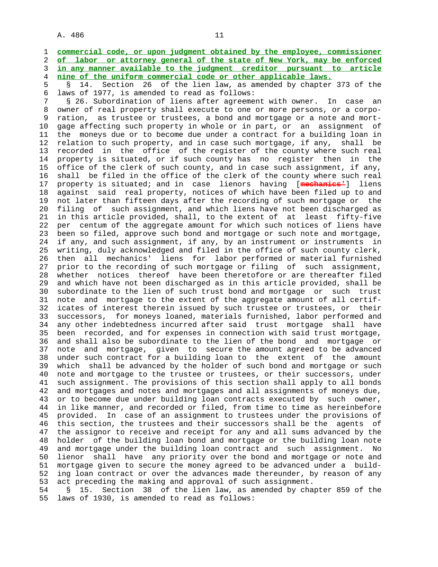**commercial code, or upon judgment obtained by the employee, commissioner of labor or attorney general of the state of New York, may be enforced in any manner available to the judgment creditor pursuant to article nine of the uniform commercial code or other applicable laws.**

 5 § 14. Section 26 of the lien law, as amended by chapter 373 of the 6 laws of 1977, is amended to read as follows: 7 § 26. Subordination of liens after agreement with owner. In case an 8 owner of real property shall execute to one or more persons, or a corpo-<br>9 ration, as trustee or trustees, a bond and mortgage or a note and mortration, as trustee or trustees, a bond and mortgage or a note and mort- 10 gage affecting such property in whole or in part, or an assignment of 11 the moneys due or to become due under a contract for a building loan in 12 relation to such property, and in case such mortgage, if any, shall be 13 recorded in the office of the register of the county where such real 14 property is situated, or if such county has no register then in the 15 office of the clerk of such county, and in case such assignment, if any, 16 shall be filed in the office of the clerk of the county where such real 17 property is situated; and in case lienors having [**mechanics'**] liens 18 against said real property, notices of which have been filed up to and 19 not later than fifteen days after the recording of such mortgage or the 20 filing of such assignment, and which liens have not been discharged as 21 in this article provided, shall, to the extent of at least fifty-five 22 per centum of the aggregate amount for which such notices of liens have 23 been so filed, approve such bond and mortgage or such note and mortgage, 24 if any, and such assignment, if any, by an instrument or instruments in 25 writing, duly acknowledged and filed in the office of such county clerk, 26 then all mechanics' liens for labor performed or material furnished 27 prior to the recording of such mortgage or filing of such assignment, 28 whether notices thereof have been theretofore or are thereafter filed 29 and which have not been discharged as in this article provided, shall be 30 subordinate to the lien of such trust bond and mortgage or such trust 31 note and mortgage to the extent of the aggregate amount of all certif- 32 icates of interest therein issued by such trustee or trustees, or their 33 successors, for moneys loaned, materials furnished, labor performed and 34 any other indebtedness incurred after said trust mortgage shall have 35 been recorded, and for expenses in connection with said trust mortgage, 36 and shall also be subordinate to the lien of the bond and mortgage or 37 note and mortgage, given to secure the amount agreed to be advanced 38 under such contract for a building loan to the extent of the amount 39 which shall be advanced by the holder of such bond and mortgage or such 40 note and mortgage to the trustee or trustees, or their successors, under 41 such assignment. The provisions of this section shall apply to all bonds 42 and mortgages and notes and mortgages and all assignments of moneys due, 43 or to become due under building loan contracts executed by such owner, 44 in like manner, and recorded or filed, from time to time as hereinbefore 45 provided. In case of an assignment to trustees under the provisions of 46 this section, the trustees and their successors shall be the agents of 47 the assignor to receive and receipt for any and all sums advanced by the 48 holder of the building loan bond and mortgage or the building loan note 49 and mortgage under the building loan contract and such assignment. No 50 lienor shall have any priority over the bond and mortgage or note and 51 mortgage given to secure the money agreed to be advanced under a build- 52 ing loan contract or over the advances made thereunder, by reason of any 53 act preceding the making and approval of such assignment.

 54 § 15. Section 38 of the lien law, as amended by chapter 859 of the 55 laws of 1930, is amended to read as follows: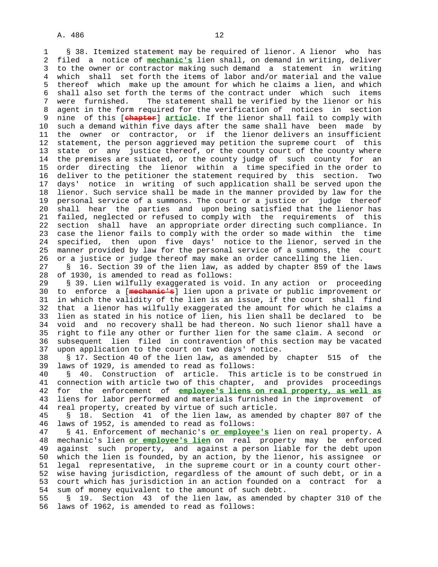1 § 38. Itemized statement may be required of lienor. A lienor who has 2 filed a notice of **mechanic's** lien shall, on demand in writing, deliver 3 to the owner or contractor making such demand a statement in writing 4 which shall set forth the items of labor and/or material and the value 5 thereof which make up the amount for which he claims a lien, and which 6 shall also set forth the terms of the contract under which such items 7 were furnished. The statement shall be verified by the lienor or his 8 agent in the form required for the verification of notices in section<br>9 nine of this [chapter] article. If the lienor shall fail to comply with 9 nine of this [**chapter**] **article**. If the lienor shall fail to comply with 10 such a demand within five days after the same shall have been made by 11 the owner or contractor, or if the lienor delivers an insufficient 12 statement, the person aggrieved may petition the supreme court of this 13 state or any justice thereof, or the county court of the county where 14 the premises are situated, or the county judge of such county for an 15 order directing the lienor within a time specified in the order to 16 deliver to the petitioner the statement required by this section. Two 17 days' notice in writing of such application shall be served upon the 18 lienor. Such service shall be made in the manner provided by law for the 19 personal service of a summons. The court or a justice or judge thereof 20 shall hear the parties and upon being satisfied that the lienor has 21 failed, neglected or refused to comply with the requirements of this 22 section shall have an appropriate order directing such compliance. In 23 case the lienor fails to comply with the order so made within the time 24 specified, then upon five days' notice to the lienor, served in the 25 manner provided by law for the personal service of a summons, the court 26 or a justice or judge thereof may make an order cancelling the lien. 27 § 16. Section 39 of the lien law, as added by chapter 859 of the laws

28 of 1930, is amended to read as follows:

 29 § 39. Lien wilfully exaggerated is void. In any action or proceeding 30 to enforce a [**mechanic's**] lien upon a private or public improvement or 31 in which the validity of the lien is an issue, if the court shall find 32 that a lienor has wilfully exaggerated the amount for which he claims a 33 lien as stated in his notice of lien, his lien shall be declared to be 34 void and no recovery shall be had thereon. No such lienor shall have a 35 right to file any other or further lien for the same claim. A second or 36 subsequent lien filed in contravention of this section may be vacated 37 upon application to the court on two days' notice.

 38 § 17. Section 40 of the lien law, as amended by chapter 515 of the 39 laws of 1929, is amended to read as follows:

 40 § 40. Construction of article. This article is to be construed in 41 connection with article two of this chapter, and provides proceedings 42 for the enforcement of **employee's liens on real property, as well as** 43 liens for labor performed and materials furnished in the improvement of 44 real property, created by virtue of such article.

 45 § 18. Section 41 of the lien law, as amended by chapter 807 of the 46 laws of 1952, is amended to read as follows:

 47 § 41. Enforcement of mechanic's **or employee's** lien on real property. A 48 mechanic's lien **or employee's lien** on real property may be enforced 49 against such property, and against a person liable for the debt upon 50 which the lien is founded, by an action, by the lienor, his assignee or 51 legal representative, in the supreme court or in a county court other- 52 wise having jurisdiction, regardless of the amount of such debt, or in a 53 court which has jurisdiction in an action founded on a contract for a 54 sum of money equivalent to the amount of such debt.

 55 § 19. Section 43 of the lien law, as amended by chapter 310 of the 56 laws of 1962, is amended to read as follows: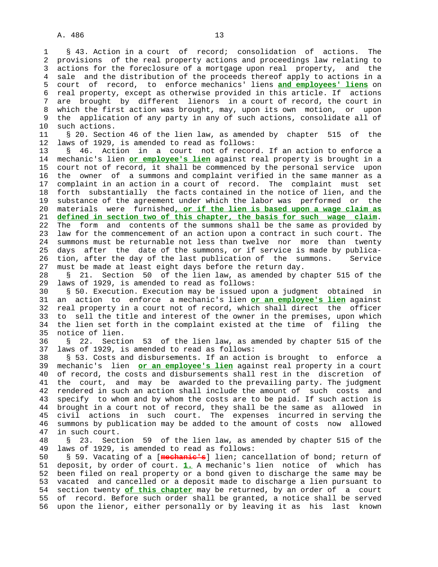1 § 43. Action in a court of record; consolidation of actions. The 2 provisions of the real property actions and proceedings law relating to 3 actions for the foreclosure of a mortgage upon real property, and the 4 sale and the distribution of the proceeds thereof apply to actions in a 5 court of record, to enforce mechanics' liens **and employees' liens** on 6 real property, except as otherwise provided in this article. If actions 7 are brought by different lienors in a court of record, the court in 8 which the first action was brought, may, upon its own motion, or upon<br>9 the application of any party in any of such actions, consolidate all of the application of any party in any of such actions, consolidate all of 10 such actions. 11 § 20. Section 46 of the lien law, as amended by chapter 515 of the 12 laws of 1929, is amended to read as follows: 13 § 46. Action in a court not of record. If an action to enforce a 14 mechanic's lien **or employee's lien** against real property is brought in a

 15 court not of record, it shall be commenced by the personal service upon 16 the owner of a summons and complaint verified in the same manner as a 17 complaint in an action in a court of record. The complaint must set 18 forth substantially the facts contained in the notice of lien, and the 19 substance of the agreement under which the labor was performed or the 20 materials were furnished**, or if the lien is based upon a wage claim as** 21 **defined in section two of this chapter, the basis for such wage claim**. 22 The form and contents of the summons shall be the same as provided by 23 law for the commencement of an action upon a contract in such court. The 24 summons must be returnable not less than twelve nor more than twenty 25 days after the date of the summons, or if service is made by publica- 26 tion, after the day of the last publication of the summons. Service 27 must be made at least eight days before the return day.

 28 § 21. Section 50 of the lien law, as amended by chapter 515 of the 29 laws of 1929, is amended to read as follows:

 30 § 50. Execution. Execution may be issued upon a judgment obtained in 31 an action to enforce a mechanic's lien **or an employee's lien** against 32 real property in a court not of record, which shall direct the officer 33 to sell the title and interest of the owner in the premises, upon which 34 the lien set forth in the complaint existed at the time of filing the 35 notice of lien.

 36 § 22. Section 53 of the lien law, as amended by chapter 515 of the 37 laws of 1929, is amended to read as follows:

 38 § 53. Costs and disbursements. If an action is brought to enforce a 39 mechanic's lien **or an employee's lien** against real property in a court 40 of record, the costs and disbursements shall rest in the discretion of 41 the court, and may be awarded to the prevailing party. The judgment 42 rendered in such an action shall include the amount of such costs and 43 specify to whom and by whom the costs are to be paid. If such action is 44 brought in a court not of record, they shall be the same as allowed in 45 civil actions in such court. The expenses incurred in serving the 46 summons by publication may be added to the amount of costs now allowed 47 in such court.

 48 § 23. Section 59 of the lien law, as amended by chapter 515 of the 49 laws of 1929, is amended to read as follows:

 50 § 59. Vacating of a [**mechanic's**] lien; cancellation of bond; return of 51 deposit, by order of court. **1.** A mechanic's lien notice of which has 52 been filed on real property or a bond given to discharge the same may be 53 vacated and cancelled or a deposit made to discharge a lien pursuant to 54 section twenty **of this chapter** may be returned, by an order of a court 55 of record. Before such order shall be granted, a notice shall be served 56 upon the lienor, either personally or by leaving it as his last known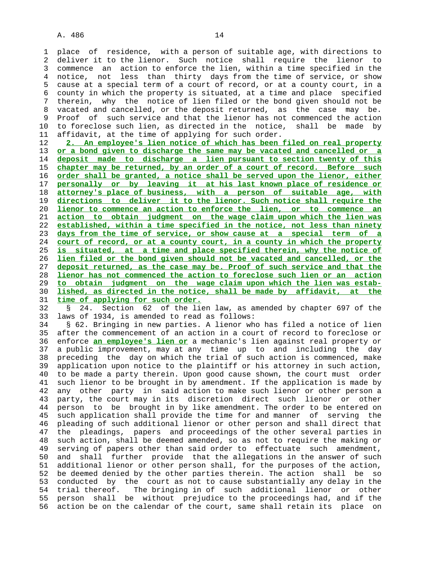1 place of residence, with a person of suitable age, with directions to 2 deliver it to the lienor. Such notice shall require the lienor to 3 commence an action to enforce the lien, within a time specified in the 4 notice, not less than thirty days from the time of service, or show 5 cause at a special term of a court of record, or at a county court, in a 6 county in which the property is situated, at a time and place specified 7 therein, why the notice of lien filed or the bond given should not be 8 vacated and cancelled, or the deposit returned, as the case may be. Proof of such service and that the lienor has not commenced the action 10 to foreclose such lien, as directed in the notice, shall be made by 11 affidavit, at the time of applying for such order.

**2. An employee's lien notice of which has been filed on real property or a bond given to discharge the same may be vacated and cancelled or a deposit made to discharge a lien pursuant to section twenty of this chapter may be returned, by an order of a court of record. Before such order shall be granted, a notice shall be served upon the lienor, either personally or by leaving it at his last known place of residence or attorney's place of business, with a person of suitable age, with directions to deliver it to the lienor. Such notice shall require the lienor to commence an action to enforce the lien, or to commence an action to obtain judgment on the wage claim upon which the lien was established, within a time specified in the notice, not less than ninety days from the time of service, or show cause at a special term of a court of record, or at a county court, in a county in which the property is situated, at a time and place specified therein, why the notice of lien filed or the bond given should not be vacated and cancelled, or the deposit returned, as the case may be. Proof of such service and that the lienor has not commenced the action to foreclose such lien or an action to obtain judgment on the wage claim upon which the lien was estab- lished, as directed in the notice, shall be made by affidavit, at the time of applying for such order.**

 32 § 24. Section 62 of the lien law, as amended by chapter 697 of the 33 laws of 1934, is amended to read as follows:

 34 § 62. Bringing in new parties. A lienor who has filed a notice of lien 35 after the commencement of an action in a court of record to foreclose or 36 enforce **an employee's lien or** a mechanic's lien against real property or 37 a public improvement, may at any time up to and including the day 38 preceding the day on which the trial of such action is commenced, make 39 application upon notice to the plaintiff or his attorney in such action, 40 to be made a party therein. Upon good cause shown, the court must order 41 such lienor to be brought in by amendment. If the application is made by 42 any other party in said action to make such lienor or other person a 43 party, the court may in its discretion direct such lienor or other 44 person to be brought in by like amendment. The order to be entered on 45 such application shall provide the time for and manner of serving the 46 pleading of such additional lienor or other person and shall direct that 47 the pleadings, papers and proceedings of the other several parties in 48 such action, shall be deemed amended, so as not to require the making or 49 serving of papers other than said order to effectuate such amendment, 50 and shall further provide that the allegations in the answer of such 51 additional lienor or other person shall, for the purposes of the action, 52 be deemed denied by the other parties therein. The action shall be so 53 conducted by the court as not to cause substantially any delay in the 54 trial thereof. The bringing in of such additional lienor or other 55 person shall be without prejudice to the proceedings had, and if the 56 action be on the calendar of the court, same shall retain its place on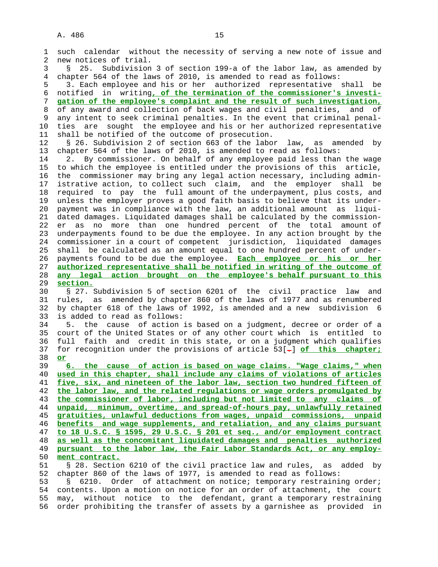1 such calendar without the necessity of serving a new note of issue and 2 new notices of trial. 3 § 25. Subdivision 3 of section 199-a of the labor law, as amended by 4 chapter 564 of the laws of 2010, is amended to read as follows: 5 3. Each employee and his or her authorized representative shall be 6 notified in writing**, of the termination of the commissioner's investi-** 7 **gation of the employee's complaint and the result of such investigation,** 8 of any award and collection of back wages and civil penalties, and of 9 any intent to seek criminal penalties. In the event that criminal penal- 10 ties are sought the employee and his or her authorized representative 11 shall be notified of the outcome of prosecution. 12 § 26. Subdivision 2 of section 663 of the labor law, as amended by 13 chapter 564 of the laws of 2010, is amended to read as follows: 14 2. By commissioner. On behalf of any employee paid less than the wage 15 to which the employee is entitled under the provisions of this article, 16 the commissioner may bring any legal action necessary, including admin- 17 istrative action, to collect such claim, and the employer shall be 18 required to pay the full amount of the underpayment, plus costs, and 19 unless the employer proves a good faith basis to believe that its under- 20 payment was in compliance with the law, an additional amount as liqui- 21 dated damages. Liquidated damages shall be calculated by the commission- 22 er as no more than one hundred percent of the total amount of 23 underpayments found to be due the employee. In any action brought by the 24 commissioner in a court of competent jurisdiction, liquidated damages 25 shall be calculated as an amount equal to one hundred percent of under- 26 payments found to be due the employee. **Each employee or his or her** 27 **authorized representative shall be notified in writing of the outcome of** 28 **any legal action brought on the employee's behalf pursuant to this** 29 **section.** 30 § 27. Subdivision 5 of section 6201 of the civil practice law and 31 rules, as amended by chapter 860 of the laws of 1977 and as renumbered 32 by chapter 618 of the laws of 1992, is amended and a new subdivision 6 33 is added to read as follows: 34 5. the cause of action is based on a judgment, decree or order of a 35 court of the United States or of any other court which is entitled to 36 full faith and credit in this state, or on a judgment which qualifies 37 for recognition under the provisions of article 53[**.**] **of this chapter;** 38 **or** 39 **6. the cause of action is based on wage claims. "Wage claims," when** 40 **used in this chapter, shall include any claims of violations of articles** 41 **five, six, and nineteen of the labor law, section two hundred fifteen of** 42 **the labor law, and the related regulations or wage orders promulgated by** 43 **the commissioner of labor, including but not limited to any claims of** 44 **unpaid, minimum, overtime, and spread-of-hours pay, unlawfully retained** 45 **gratuities, unlawful deductions from wages, unpaid commissions, unpaid** 46 **benefits and wage supplements, and retaliation, and any claims pursuant** 47 **to 18 U.S.C. § 1595, 29 U.S.C. § 201 et seq., and/or employment contract** 48 **as well as the concomitant liquidated damages and penalties authorized** 49 **pursuant to the labor law, the Fair Labor Standards Act, or any employ-** 50 **ment contract.** 51 § 28. Section 6210 of the civil practice law and rules, as added by 52 chapter 860 of the laws of 1977, is amended to read as follows: 53 § 6210. Order of attachment on notice; temporary restraining order; 54 contents. Upon a motion on notice for an order of attachment, the court 55 may, without notice to the defendant, grant a temporary restraining 56 order prohibiting the transfer of assets by a garnishee as provided in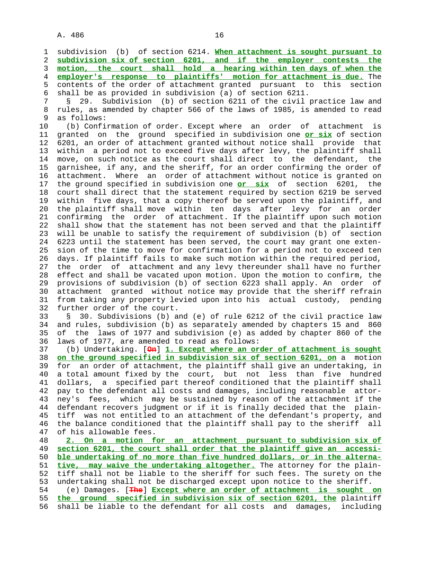1 subdivision (b) of section 6214. **When attachment is sought pursuant to** 2 **subdivision six of section 6201, and if the employer contests the** 3 **motion, the court shall hold a hearing within ten days of when the** 4 **employer's response to plaintiffs' motion for attachment is due.** The 5 contents of the order of attachment granted pursuant to this section 6 shall be as provided in subdivision (a) of section 6211. 7 § 29. Subdivision (b) of section 6211 of the civil practice law and 8 rules, as amended by chapter 566 of the laws of 1985, is amended to read<br>9 as follows: as follows: 10 (b) Confirmation of order. Except where an order of attachment is 11 granted on the ground specified in subdivision one **or six** of section 12 6201, an order of attachment granted without notice shall provide that 13 within a period not to exceed five days after levy, the plaintiff shall 14 move, on such notice as the court shall direct to the defendant, the 15 garnishee, if any, and the sheriff, for an order confirming the order of 16 attachment. Where an order of attachment without notice is granted on 17 the ground specified in subdivision one **or six** of section 6201, the 18 court shall direct that the statement required by section 6219 be served 19 within five days, that a copy thereof be served upon the plaintiff, and 20 the plaintiff shall move within ten days after levy for an order 21 confirming the order of attachment. If the plaintiff upon such motion 22 shall show that the statement has not been served and that the plaintiff 23 will be unable to satisfy the requirement of subdivision (b) of section 24 6223 until the statement has been served, the court may grant one exten- 25 sion of the time to move for confirmation for a period not to exceed ten 26 days. If plaintiff fails to make such motion within the required period, 27 the order of attachment and any levy thereunder shall have no further 28 effect and shall be vacated upon motion. Upon the motion to confirm, the 29 provisions of subdivision (b) of section 6223 shall apply. An order of 30 attachment granted without notice may provide that the sheriff refrain 31 from taking any property levied upon into his actual custody, pending 32 further order of the court. 33 § 30. Subdivisions (b) and (e) of rule 6212 of the civil practice law 34 and rules, subdivision (b) as separately amended by chapters 15 and 860 35 of the laws of 1977 and subdivision (e) as added by chapter 860 of the 36 laws of 1977, are amended to read as follows: 37 (b) Undertaking. [**On**] **1. Except where an order of attachment is sought** 38 **on the ground specified in subdivision six of section 6201, on** a motion 39 for an order of attachment, the plaintiff shall give an undertaking, in 40 a total amount fixed by the court, but not less than five hundred 41 dollars, a specified part thereof conditioned that the plaintiff shall 42 pay to the defendant all costs and damages, including reasonable attor- 43 ney's fees, which may be sustained by reason of the attachment if the 44 defendant recovers judgment or if it is finally decided that the plain- 45 tiff was not entitled to an attachment of the defendant's property, and 46 the balance conditioned that the plaintiff shall pay to the sheriff all 47 of his allowable fees. 48 **2. On a motion for an attachment pursuant to subdivision six of** 49 **section 6201, the court shall order that the plaintiff give an accessi-** 50 **ble undertaking of no more than five hundred dollars, or in the alterna-** 51 **tive, may waive the undertaking altogether.** The attorney for the plain- 52 tiff shall not be liable to the sheriff for such fees. The surety on the 53 undertaking shall not be discharged except upon notice to the sheriff. 54 (e) Damages. [**The**] **Except where an order of attachment is sought on** 55 **the ground specified in subdivision six of section 6201, the** plaintiff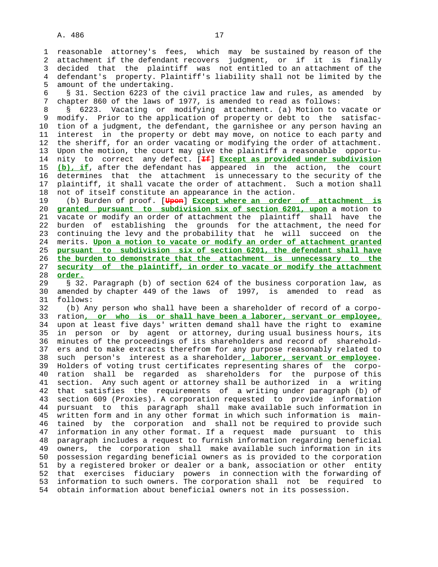1 reasonable attorney's fees, which may be sustained by reason of the 2 attachment if the defendant recovers judgment, or if it is finally 3 decided that the plaintiff was not entitled to an attachment of the 4 defendant's property. Plaintiff's liability shall not be limited by the 5 amount of the undertaking. 6 § 31. Section 6223 of the civil practice law and rules, as amended by 7 chapter 860 of the laws of 1977, is amended to read as follows: 8 § 6223. Vacating or modifying attachment. (a) Motion to vacate or<br>9 modify. Prior to the application of property or debt to the satisfacmodify. Prior to the application of property or debt to the satisfac- 10 tion of a judgment, the defendant, the garnishee or any person having an 11 interest in the property or debt may move, on notice to each party and 12 the sheriff, for an order vacating or modifying the order of attachment. 13 Upon the motion, the court may give the plaintiff a reasonable opportu- 14 nity to correct any defect. [**If**] **Except as provided under subdivision** 15 **(b), if**, after the defendant has appeared in the action, the court 16 determines that the attachment is unnecessary to the security of the 17 plaintiff, it shall vacate the order of attachment. Such a motion shall 18 not of itself constitute an appearance in the action. 19 (b) Burden of proof. [**Upon**] **Except where an order of attachment is** 20 **granted pursuant to subdivision six of section 6201, upon** a motion to 21 vacate or modify an order of attachment the plaintiff shall have the 22 burden of establishing the grounds for the attachment, the need for 23 continuing the levy and the probability that he will succeed on the 24 merits. **Upon a motion to vacate or modify an order of attachment granted** 25 **pursuant to subdivision six of section 6201, the defendant shall have** 26 **the burden to demonstrate that the attachment is unnecessary to the** 27 **security of the plaintiff, in order to vacate or modify the attachment** 28 **order.** 29 § 32. Paragraph (b) of section 624 of the business corporation law, as 30 amended by chapter 449 of the laws of 1997, is amended to read as 31 follows: 32 (b) Any person who shall have been a shareholder of record of a corpo- 33 ration**, or who is or shall have been a laborer, servant or employee,** 34 upon at least five days' written demand shall have the right to examine 35 in person or by agent or attorney, during usual business hours, its 36 minutes of the proceedings of its shareholders and record of sharehold- 37 ers and to make extracts therefrom for any purpose reasonably related to 38 such person's interest as a shareholder**, laborer, servant or employee**. 39 Holders of voting trust certificates representing shares of the corpo- 40 ration shall be regarded as shareholders for the purpose of this 41 section. Any such agent or attorney shall be authorized in a writing 42 that satisfies the requirements of a writing under paragraph (b) of 43 section 609 (Proxies). A corporation requested to provide information 44 pursuant to this paragraph shall make available such information in 45 written form and in any other format in which such information is main- 46 tained by the corporation and shall not be required to provide such 47 information in any other format. If a request made pursuant to this 48 paragraph includes a request to furnish information regarding beneficial 49 owners, the corporation shall make available such information in its 50 possession regarding beneficial owners as is provided to the corporation 51 by a registered broker or dealer or a bank, association or other entity 52 that exercises fiduciary powers in connection with the forwarding of 53 information to such owners. The corporation shall not be required to 54 obtain information about beneficial owners not in its possession.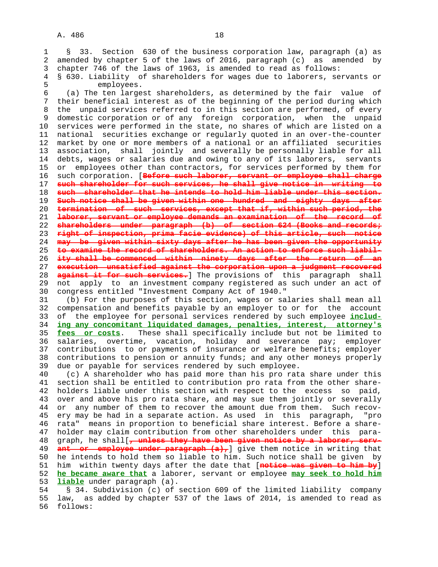1 § 33. Section 630 of the business corporation law, paragraph (a) as 2 amended by chapter 5 of the laws of 2016, paragraph (c) as amended by 3 chapter 746 of the laws of 1963, is amended to read as follows:

 4 § 630. Liability of shareholders for wages due to laborers, servants or 5 employees.

 6 (a) The ten largest shareholders, as determined by the fair value of 7 their beneficial interest as of the beginning of the period during which 8 the unpaid services referred to in this section are performed, of every 9 domestic corporation or of any foreign corporation, when the unpaid 10 services were performed in the state, no shares of which are listed on a 11 national securities exchange or regularly quoted in an over-the-counter 12 market by one or more members of a national or an affiliated securities 13 association, shall jointly and severally be personally liable for all 14 debts, wages or salaries due and owing to any of its laborers, servants 15 or employees other than contractors, for services performed by them for 16 such corporation. [**Before such laborer, servant or employee shall charge** 17 **such shareholder for such services, he shall give notice in writing to** 18 **such shareholder that he intends to hold him liable under this section.** 19 **Such notice shall be given within one hundred and eighty days after** 20 **termination of such services, except that if, within such period, the** 21 **laborer, servant or employee demands an examination of the record of** 22 **shareholders under paragraph (b) of section 624 (Books and records;** 23 **right of inspection, prima facie evidence) of this article, such notice** 24 **may be given within sixty days after he has been given the opportunity** 25 **to examine the record of shareholders. An action to enforce such liabil-** 26 **ity shall be commenced within ninety days after the return of an** 27 **execution unsatisfied against the corporation upon a judgment recovered** 28 **against it for such services.**] The provisions of this paragraph shall 29 not apply to an investment company registered as such under an act of 30 congress entitled "Investment Company Act of 1940."

 31 (b) For the purposes of this section, wages or salaries shall mean all 32 compensation and benefits payable by an employer to or for the account 33 of the employee for personal services rendered by such employee **includ-** 34 **ing any concomitant liquidated damages, penalties, interest, attorney's** 35 **fees or costs**. These shall specifically include but not be limited to 36 salaries, overtime, vacation, holiday and severance pay; employer 37 contributions to or payments of insurance or welfare benefits; employer 38 contributions to pension or annuity funds; and any other moneys properly 39 due or payable for services rendered by such employee.

 40 (c) A shareholder who has paid more than his pro rata share under this 41 section shall be entitled to contribution pro rata from the other share- 42 holders liable under this section with respect to the excess so paid, 43 over and above his pro rata share, and may sue them jointly or severally 44 or any number of them to recover the amount due from them. Such recov- 45 ery may be had in a separate action. As used in this paragraph, "pro 46 rata" means in proportion to beneficial share interest. Before a share- 47 holder may claim contribution from other shareholders under this para- 48 graph, he shall[**, unless they have been given notice by a laborer, serv-** 49 **ant or employee under paragraph (a),** give them notice in writing that 50 he intends to hold them so liable to him. Such notice shall be given by 51 him within twenty days after the date that [**notice was given to him by**] 52 **he became aware that** a laborer, servant or employee **may seek to hold him** 53 **liable** under paragraph (a). 54 § 34. Subdivision (c) of section 609 of the limited liability company

 55 law, as added by chapter 537 of the laws of 2014, is amended to read as 56 follows: